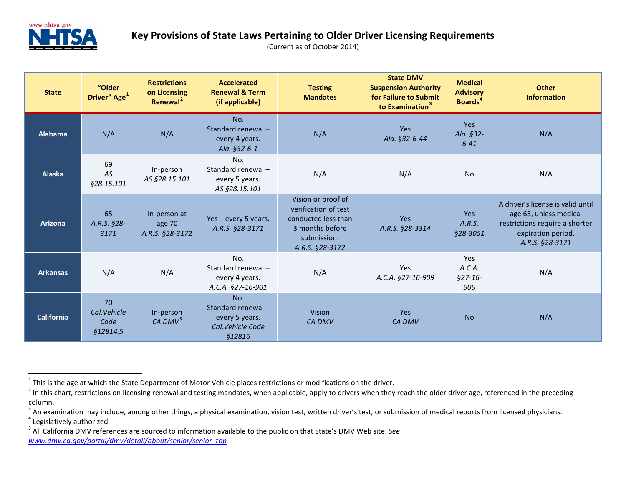<span id="page-0-4"></span><span id="page-0-3"></span><span id="page-0-2"></span><span id="page-0-1"></span><span id="page-0-0"></span>

| <b>State</b>      | "Older<br>Driver" Age <sup>1</sup>    | <b>Restrictions</b><br>on Licensing<br>Renewal <sup>2</sup> | <b>Accelerated</b><br><b>Renewal &amp; Term</b><br>(if applicable)               | <b>Testing</b><br><b>Mandates</b>                                                                                      | <b>State DMV</b><br><b>Suspension Authority</b><br>for Failure to Submit<br>to Examination <sup>3</sup> | <b>Medical</b><br><b>Advisory</b><br><b>Boards<sup>4</sup></b> | <b>Other</b><br><b>Information</b>                                                                                                     |
|-------------------|---------------------------------------|-------------------------------------------------------------|----------------------------------------------------------------------------------|------------------------------------------------------------------------------------------------------------------------|---------------------------------------------------------------------------------------------------------|----------------------------------------------------------------|----------------------------------------------------------------------------------------------------------------------------------------|
| <b>Alabama</b>    | N/A                                   | N/A                                                         | No.<br>Standard renewal-<br>every 4 years.<br>Ala. §32-6-1                       | N/A                                                                                                                    | Yes<br>Ala. §32-6-44                                                                                    | Yes<br>Ala. §32-<br>$6 - 41$                                   | N/A                                                                                                                                    |
| <b>Alaska</b>     | 69<br>AS<br>§28.15.101                | In-person<br>AS §28.15.101                                  | No.<br>Standard renewal-<br>every 5 years.<br>AS §28.15.101                      | N/A                                                                                                                    | N/A                                                                                                     | No                                                             | N/A                                                                                                                                    |
| <b>Arizona</b>    | 65<br>A.R.S. §28-<br>3171             | In-person at<br>age 70<br>A.R.S. §28-3172                   | Yes - every 5 years.<br>A.R.S. §28-3171                                          | Vision or proof of<br>verification of test<br>conducted less than<br>3 months before<br>submission.<br>A.R.S. §28-3172 | <b>Yes</b><br>A.R.S. §28-3314                                                                           | <b>Yes</b><br>A.R.S.<br>§28-3051                               | A driver's license is valid until<br>age 65, unless medical<br>restrictions require a shorter<br>expiration period.<br>A.R.S. §28-3171 |
| <b>Arkansas</b>   | N/A                                   | N/A                                                         | No.<br>Standard renewal-<br>every 4 years.<br>A.C.A. §27-16-901                  | N/A                                                                                                                    | Yes<br>A.C.A. §27-16-909                                                                                | Yes<br>A.C.A.<br>$$27-16-$<br>909                              | N/A                                                                                                                                    |
| <b>California</b> | 70<br>Cal.Vehicle<br>Code<br>§12814.5 | In-person<br>CA DMV $^5$                                    | No.<br>Standard renewal-<br>every 5 years.<br>Cal. Vehicle Code<br><b>§12816</b> | <b>Vision</b><br><b>CA DMV</b>                                                                                         | Yes<br><b>CA DMV</b>                                                                                    | <b>No</b>                                                      | N/A                                                                                                                                    |

<sup>&</sup>lt;sup>1</sup> This is the age at which the State Department of Motor Vehicle places restrictions or modifications on the driver.<br><sup>2</sup> In this chart, restrictions on licensing renewal and testing mandates, when applicable, apply to d column.

 $3$  An examination may include, among other things, a physical examination, vision test, written driver's test, or submission of medical reports from licensed physicians.<br><sup>4</sup> Legislatively authorized

<sup>5</sup> All California DMV references are sourced to information available to the public on that State's DMV Web site. *See [www.dmv.ca.gov/portal/dmv/detail/about/senior/senior\\_top](http://www.dmv.ca.gov/portal/dmv/detail/about/senior/senior_top)*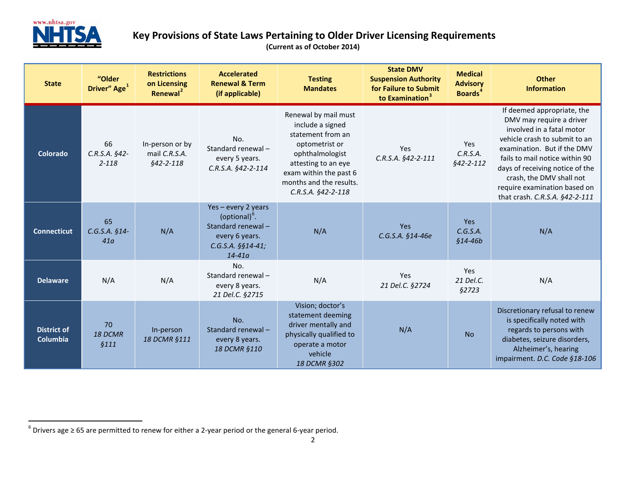<span id="page-1-0"></span>

| <b>State</b>                          | "Older<br>Driver" Age <sup>1</sup>       | <b>Restrictions</b><br>on Licensing<br>Renewal <sup>2</sup> | <b>Accelerated</b><br><b>Renewal &amp; Term</b><br>(if applicable)                                                         | <b>Testing</b><br><b>Mandates</b>                                                                                                                                                                    | <b>State DMV</b><br><b>Suspension Authority</b><br>for Failure to Submit<br>to Examination <sup>3</sup> | <b>Medical</b><br><b>Advisory</b><br><b>Boards</b> <sup>4</sup> | <b>Other</b><br><b>Information</b>                                                                                                                                                                                                                                                                                     |
|---------------------------------------|------------------------------------------|-------------------------------------------------------------|----------------------------------------------------------------------------------------------------------------------------|------------------------------------------------------------------------------------------------------------------------------------------------------------------------------------------------------|---------------------------------------------------------------------------------------------------------|-----------------------------------------------------------------|------------------------------------------------------------------------------------------------------------------------------------------------------------------------------------------------------------------------------------------------------------------------------------------------------------------------|
| Colorado                              | 66<br>$C.R.S.A.$ §42-<br>$2 - 118$       | In-person or by<br>mail C.R.S.A.<br>$§42 - 2 - 118$         | No.<br>Standard renewal-<br>every 5 years.<br>C.R.S.A. §42-2-114                                                           | Renewal by mail must<br>include a signed<br>statement from an<br>optometrist or<br>ophthalmologist<br>attesting to an eye<br>exam within the past 6<br>months and the results.<br>C.R.S.A. §42-2-118 | <b>Yes</b><br>$C.R.S.A.$ §42-2-111                                                                      | Yes<br>C.R.S.A.<br>$§42 - 2 - 112$                              | If deemed appropriate, the<br>DMV may require a driver<br>involved in a fatal motor<br>vehicle crash to submit to an<br>examination. But if the DMV<br>fails to mail notice within 90<br>days of receiving notice of the<br>crash, the DMV shall not<br>require examination based on<br>that crash. C.R.S.A. §42-2-111 |
| <b>Connecticut</b>                    | 65<br>$C.G.S.A. §14-$<br>41 <sub>a</sub> | N/A                                                         | Yes-every 2 years<br>(optional) <sup>b</sup> .<br>Standard renewal-<br>every 6 years.<br>$C.G.S.A.$ §§14-41;<br>$14 - 41a$ | N/A                                                                                                                                                                                                  | <b>Yes</b><br>C.G.S.A. §14-46e                                                                          | <b>Yes</b><br>C.G.S.A.<br>$$14-46b$                             | N/A                                                                                                                                                                                                                                                                                                                    |
| <b>Delaware</b>                       | N/A                                      | N/A                                                         | No.<br>Standard renewal-<br>every 8 years.<br>21 Del.C. §2715                                                              | N/A                                                                                                                                                                                                  | Yes<br>21 Del.C. §2724                                                                                  | <b>Yes</b><br>21 Del.C.<br><b>§2723</b>                         | N/A                                                                                                                                                                                                                                                                                                                    |
| <b>District of</b><br><b>Columbia</b> | 70<br>18 DCMR<br>\$111                   | In-person<br>18 DCMR §111                                   | No.<br>Standard renewal-<br>every 8 years.<br>18 DCMR §110                                                                 | Vision; doctor's<br>statement deeming<br>driver mentally and<br>physically qualified to<br>operate a motor<br>vehicle<br>18 DCMR §302                                                                | N/A                                                                                                     | <b>No</b>                                                       | Discretionary refusal to renew<br>is specifically noted with<br>regards to persons with<br>diabetes, seizure disorders,<br>Alzheimer's, hearing<br>impairment. D.C. Code §18-106                                                                                                                                       |

 $6$  Drivers age  $\geq 65$  are permitted to renew for either a 2-year period or the general 6-year period.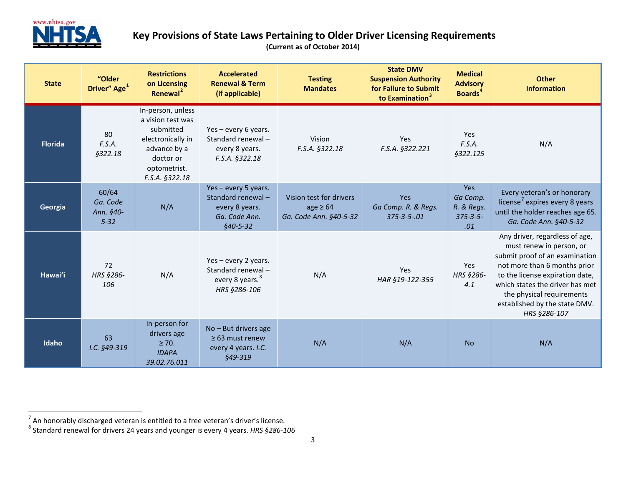<span id="page-2-1"></span><span id="page-2-0"></span>

| <b>State</b>   | "Older<br>Driver" Age <sup>1</sup>         | <b>Restrictions</b><br>on Licensing<br>Renewal <sup>2</sup>                                                                             | <b>Accelerated</b><br><b>Renewal &amp; Term</b><br>(if applicable)                         | <b>Testing</b><br><b>Mandates</b>                                  | <b>State DMV</b><br><b>Suspension Authority</b><br>for Failure to Submit<br>to Examination <sup>3</sup> | <b>Medical</b><br><b>Advisory</b><br><b>Boards</b> <sup>4</sup> | <b>Other</b><br><b>Information</b>                                                                                                                                                                                                                                               |
|----------------|--------------------------------------------|-----------------------------------------------------------------------------------------------------------------------------------------|--------------------------------------------------------------------------------------------|--------------------------------------------------------------------|---------------------------------------------------------------------------------------------------------|-----------------------------------------------------------------|----------------------------------------------------------------------------------------------------------------------------------------------------------------------------------------------------------------------------------------------------------------------------------|
| <b>Florida</b> | 80<br>F.S.A.<br><b>§322.18</b>             | In-person, unless<br>a vision test was<br>submitted<br>electronically in<br>advance by a<br>doctor or<br>optometrist.<br>F.S.A. §322.18 | Yes - every 6 years.<br>Standard renewal-<br>every 8 years.<br>F.S.A. §322.18              | Vision<br>F.S.A. §322.18                                           | <b>Yes</b><br>F.S.A. §322.221                                                                           | Yes<br>F.S.A.<br><b>§322.125</b>                                | N/A                                                                                                                                                                                                                                                                              |
| Georgia        | 60/64<br>Ga. Code<br>Ann. §40-<br>$5 - 32$ | N/A                                                                                                                                     | Yes - every 5 years.<br>Standard renewal-<br>every 8 years.<br>Ga. Code Ann.<br>$$40-5-32$ | Vision test for drivers<br>age $\geq 64$<br>Ga. Code Ann. §40-5-32 | Yes<br>Ga Comp. R. & Regs.<br>$375 - 3 - 5 - 01$                                                        | <b>Yes</b><br>Ga Comp.<br>R. & Regs.<br>$375 - 3 - 5 -$<br>.01  | Every veteran's or honorary<br>license <sup>7</sup> expires every 8 years<br>until the holder reaches age 65.<br>Ga. Code Ann. §40-5-32                                                                                                                                          |
| Hawai'i        | 72<br>HRS §286-<br>106                     | N/A                                                                                                                                     | Yes - every 2 years.<br>Standard renewal-<br>every 8 years. <sup>8</sup><br>HRS §286-106   | N/A                                                                | Yes<br>HAR §19-122-355                                                                                  | Yes<br>HRS §286-<br>4.1                                         | Any driver, regardless of age,<br>must renew in person, or<br>submit proof of an examination<br>not more than 6 months prior<br>to the license expiration date,<br>which states the driver has met<br>the physical requirements<br>established by the state DMV.<br>HRS §286-107 |
| Idaho          | 63<br>I.C. §49-319                         | In-person for<br>drivers age<br>$\geq$ 70.<br><b>IDAPA</b><br>39.02.76.011                                                              | No - But drivers age<br>$\geq$ 63 must renew<br>every 4 years. I.C.<br>§49-319             | N/A                                                                | N/A                                                                                                     | <b>No</b>                                                       | N/A                                                                                                                                                                                                                                                                              |

<sup>&</sup>lt;sup>7</sup> An honorably discharged veteran is entitled to a free veteran's driver's license.<br><sup>8</sup> Standard renewal for drivers 24 years and younger is every 4 years. *HRS §286-106*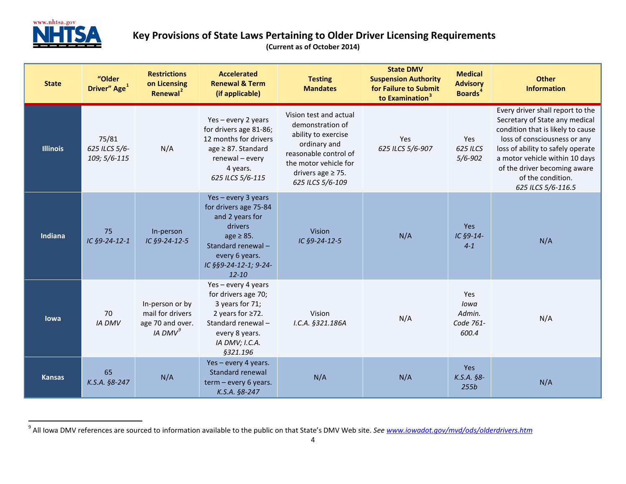<span id="page-3-0"></span>

| <b>State</b>    | "Older<br>Driver" Age <sup>1</sup>     | <b>Restrictions</b><br>on Licensing<br>Renewal <sup>2</sup>                    | <b>Accelerated</b><br><b>Renewal &amp; Term</b><br>(if applicable)                                                                                                      | <b>Testing</b><br><b>Mandates</b>                                                                                                                                                 | <b>State DMV</b><br><b>Suspension Authority</b><br>for Failure to Submit<br>to Examination <sup>3</sup> | <b>Medical</b><br><b>Advisory</b><br><b>Boards</b> <sup>4</sup> | <b>Other</b><br><b>Information</b>                                                                                                                                                                                                                                                        |
|-----------------|----------------------------------------|--------------------------------------------------------------------------------|-------------------------------------------------------------------------------------------------------------------------------------------------------------------------|-----------------------------------------------------------------------------------------------------------------------------------------------------------------------------------|---------------------------------------------------------------------------------------------------------|-----------------------------------------------------------------|-------------------------------------------------------------------------------------------------------------------------------------------------------------------------------------------------------------------------------------------------------------------------------------------|
| <b>Illinois</b> | 75/81<br>625 ILCS 5/6-<br>109; 5/6-115 | N/A                                                                            | Yes-every 2 years<br>for drivers age 81-86;<br>12 months for drivers<br>age $\geq$ 87. Standard<br>renewal - every<br>4 years.<br>625 ILCS 5/6-115                      | Vision test and actual<br>demonstration of<br>ability to exercise<br>ordinary and<br>reasonable control of<br>the motor vehicle for<br>drivers age $\geq$ 75.<br>625 ILCS 5/6-109 | Yes<br>625 ILCS 5/6-907                                                                                 | Yes<br>625 ILCS<br>$5/6 - 902$                                  | Every driver shall report to the<br>Secretary of State any medical<br>condition that is likely to cause<br>loss of consciousness or any<br>loss of ability to safely operate<br>a motor vehicle within 10 days<br>of the driver becoming aware<br>of the condition.<br>625 ILCS 5/6-116.5 |
| Indiana         | 75<br>IC §9-24-12-1                    | In-person<br>IC §9-24-12-5                                                     | Yes-every 3 years<br>for drivers age 75-84<br>and 2 years for<br>drivers<br>$age \geq 85.$<br>Standard renewal-<br>every 6 years.<br>IC §§9-24-12-1; 9-24-<br>$12 - 10$ | Vision<br>IC §9-24-12-5                                                                                                                                                           | N/A                                                                                                     | Yes<br>IC §9-14-<br>$4 - 1$                                     | N/A                                                                                                                                                                                                                                                                                       |
| lowa            | 70<br><b>IA DMV</b>                    | In-person or by<br>mail for drivers<br>age 70 and over.<br>IA DMV <sup>9</sup> | Yes-every 4 years<br>for drivers age 70;<br>3 years for 71;<br>2 years for $\geq$ 72.<br>Standard renewal-<br>every 8 years.<br>IA DMV; I.C.A.<br>§321.196              | Vision<br>I.C.A. §321.186A                                                                                                                                                        | N/A                                                                                                     | Yes<br>lowa<br>Admin.<br>Code 761-<br>600.4                     | N/A                                                                                                                                                                                                                                                                                       |
| <b>Kansas</b>   | 65<br>K.S.A. §8-247                    | N/A                                                                            | Yes - every 4 years.<br>Standard renewal<br>$term - every 6 years.$<br>K.S.A. §8-247                                                                                    | N/A                                                                                                                                                                               | N/A                                                                                                     | Yes<br>$K.S.A.$ §8-<br>255b                                     | N/A                                                                                                                                                                                                                                                                                       |

 <sup>9</sup> All Iowa DMV references are sourced to information available to the public on that State's DMV Web site. *See [www.iowadot.gov/mvd/ods/olderdrivers.htm](http://www.iowadot.gov/mvd/ods/olderdrivers.htm)*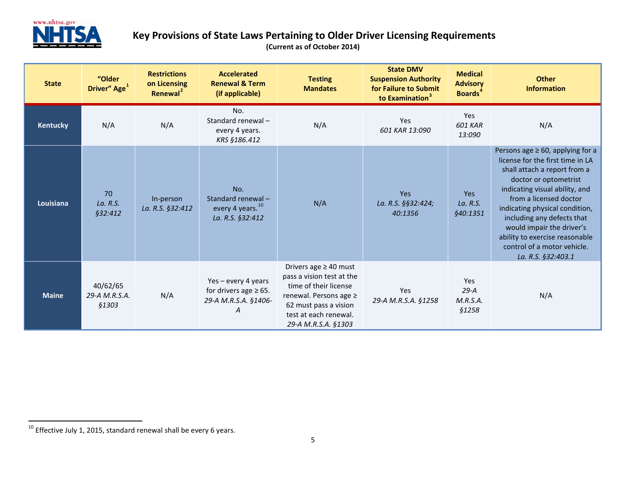<span id="page-4-0"></span>

| <b>State</b>    | "Older<br>Driver" Age <sup>1</sup>        | <b>Restrictions</b><br>on Licensing<br>Renewal <sup>2</sup> | <b>Accelerated</b><br><b>Renewal &amp; Term</b><br>(if applicable)           | <b>Testing</b><br><b>Mandates</b>                                                                                                                                                   | <b>State DMV</b><br><b>Suspension Authority</b><br>for Failure to Submit<br>to Examination <sup>3</sup> | <b>Medical</b><br><b>Advisory</b><br><b>Boards</b> <sup>4</sup> | <b>Other</b><br><b>Information</b>                                                                                                                                                                                                                                                                                                                                                  |
|-----------------|-------------------------------------------|-------------------------------------------------------------|------------------------------------------------------------------------------|-------------------------------------------------------------------------------------------------------------------------------------------------------------------------------------|---------------------------------------------------------------------------------------------------------|-----------------------------------------------------------------|-------------------------------------------------------------------------------------------------------------------------------------------------------------------------------------------------------------------------------------------------------------------------------------------------------------------------------------------------------------------------------------|
| <b>Kentucky</b> | N/A                                       | N/A                                                         | No.<br>Standard renewal-<br>every 4 years.<br>KRS §186.412                   | N/A                                                                                                                                                                                 | <b>Yes</b><br>601 KAR 13:090                                                                            | Yes<br><b>601 KAR</b><br>13:090                                 | N/A                                                                                                                                                                                                                                                                                                                                                                                 |
| Louisiana       | 70<br>La. R.S.<br>§32:412                 | In-person<br>La. R.S. §32:412                               | No.<br>Standard renewal-<br>every 4 years. <sup>10</sup><br>La. R.S. §32:412 | N/A                                                                                                                                                                                 | Yes<br>La. R.S. §§32:424;<br>40:1356                                                                    | Yes<br>La. R.S.<br>§40:1351                                     | Persons age $\geq 60$ , applying for a<br>license for the first time in LA<br>shall attach a report from a<br>doctor or optometrist<br>indicating visual ability, and<br>from a licensed doctor<br>indicating physical condition,<br>including any defects that<br>would impair the driver's<br>ability to exercise reasonable<br>control of a motor vehicle.<br>La. R.S. §32:403.1 |
| <b>Maine</b>    | 40/62/65<br>29-A M.R.S.A.<br><b>§1303</b> | N/A                                                         | Yes-every 4 years<br>for drivers age $\geq$ 65.<br>29-A M.R.S.A. §1406-<br>Α | Drivers age $\geq 40$ must<br>pass a vision test at the<br>time of their license<br>renewal. Persons age ≥<br>62 must pass a vision<br>test at each renewal.<br>29-A M.R.S.A. §1303 | Yes<br>29-A M.R.S.A. §1258                                                                              | Yes<br>$29-A$<br>M.R.S.A.<br><b>§1258</b>                       | N/A                                                                                                                                                                                                                                                                                                                                                                                 |

 $10$  Effective July 1, 2015, standard renewal shall be every 6 years.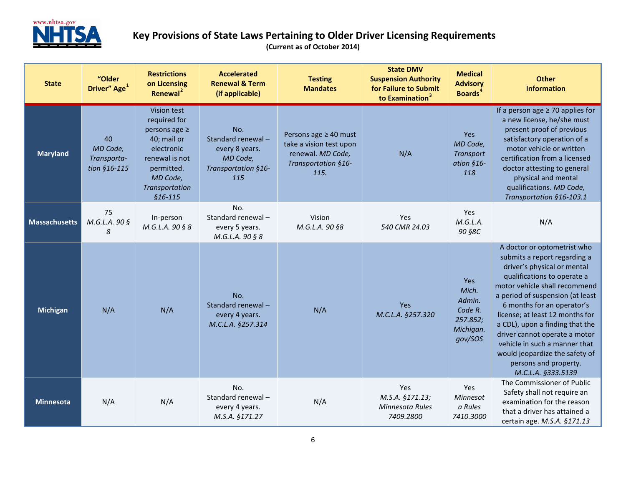

| <b>State</b>         | "Older<br>Driver" Age <sup>1</sup>            | <b>Restrictions</b><br>on Licensing<br>Renewal <sup>2</sup>                                                                                               | <b>Accelerated</b><br><b>Renewal &amp; Term</b><br>(if applicable)                   | <b>Testing</b><br><b>Mandates</b>                                                                    | <b>State DMV</b><br><b>Suspension Authority</b><br>for Failure to Submit<br>to Examination <sup>3</sup> | <b>Medical</b><br><b>Advisory</b><br><b>Boards</b> <sup>4</sup>       | <b>Other</b><br><b>Information</b>                                                                                                                                                                                                                                                                                                                                                                                                                    |
|----------------------|-----------------------------------------------|-----------------------------------------------------------------------------------------------------------------------------------------------------------|--------------------------------------------------------------------------------------|------------------------------------------------------------------------------------------------------|---------------------------------------------------------------------------------------------------------|-----------------------------------------------------------------------|-------------------------------------------------------------------------------------------------------------------------------------------------------------------------------------------------------------------------------------------------------------------------------------------------------------------------------------------------------------------------------------------------------------------------------------------------------|
| <b>Maryland</b>      | 40<br>MD Code,<br>Transporta-<br>tion §16-115 | Vision test<br>required for<br>persons age $\geq$<br>40; mail or<br>electronic<br>renewal is not<br>permitted.<br>MD Code,<br>Transportation<br>$$16-115$ | No.<br>Standard renewal-<br>every 8 years.<br>MD Code,<br>Transportation §16-<br>115 | Persons age ≥ 40 must<br>take a vision test upon<br>renewal. MD Code,<br>Transportation §16-<br>115. | N/A                                                                                                     | Yes<br>MD Code,<br><b>Transport</b><br>ation §16-<br>118              | If a person age $\geq$ 70 applies for<br>a new license, he/she must<br>present proof of previous<br>satisfactory operation of a<br>motor vehicle or written<br>certification from a licensed<br>doctor attesting to general<br>physical and mental<br>qualifications. MD Code,<br>Transportation §16-103.1                                                                                                                                            |
| <b>Massachusetts</b> | 75<br>M.G.L.A. 90 §<br>8                      | In-person<br>M.G.L.A. 90 § 8                                                                                                                              | No.<br>Standard renewal-<br>every 5 years.<br>M.G.L.A. 90 § 8                        | Vision<br>M.G.L.A. 90 §8                                                                             | Yes<br>540 CMR 24.03                                                                                    | Yes<br>M.G.L.A.<br>90 §8C                                             | N/A                                                                                                                                                                                                                                                                                                                                                                                                                                                   |
| <b>Michigan</b>      | N/A                                           | N/A                                                                                                                                                       | No.<br>Standard renewal-<br>every 4 years.<br>M.C.L.A. §257.314                      | N/A                                                                                                  | <b>Yes</b><br>M.C.L.A. §257.320                                                                         | Yes<br>Mich.<br>Admin.<br>Code R.<br>257.852;<br>Michigan.<br>gov/SOS | A doctor or optometrist who<br>submits a report regarding a<br>driver's physical or mental<br>qualifications to operate a<br>motor vehicle shall recommend<br>a period of suspension (at least<br>6 months for an operator's<br>license; at least 12 months for<br>a CDL), upon a finding that the<br>driver cannot operate a motor<br>vehicle in such a manner that<br>would jeopardize the safety of<br>persons and property.<br>M.C.L.A. §333.5139 |
| <b>Minnesota</b>     | N/A                                           | N/A                                                                                                                                                       | No.<br>Standard renewal-<br>every 4 years.<br>M.S.A. §171.27                         | N/A                                                                                                  | Yes<br>M.S.A. §171.13;<br>Minnesota Rules<br>7409.2800                                                  | Yes<br>Minnesot<br>a Rules<br>7410.3000                               | The Commissioner of Public<br>Safety shall not require an<br>examination for the reason<br>that a driver has attained a<br>certain age. M.S.A. §171.13                                                                                                                                                                                                                                                                                                |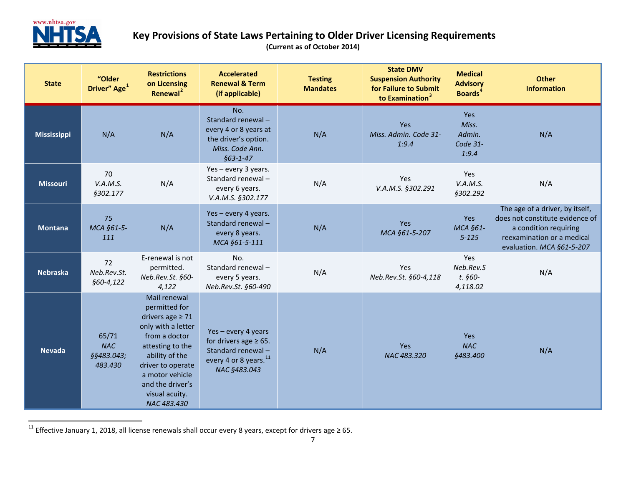<span id="page-6-0"></span>

| <b>State</b>    | "Older<br>Driver" Age <sup>1</sup>           | <b>Restrictions</b><br>on Licensing<br>Renewal <sup>2</sup>                                                                                                                                                                      | <b>Accelerated</b><br><b>Renewal &amp; Term</b><br>(if applicable)                                                         | <b>Testing</b><br><b>Mandates</b> | <b>State DMV</b><br><b>Suspension Authority</b><br>for Failure to Submit<br>to Examination <sup>3</sup> | <b>Medical</b><br><b>Advisory</b><br><b>Boards</b> <sup>4</sup> | <b>Other</b><br><b>Information</b>                                                                                                                     |
|-----------------|----------------------------------------------|----------------------------------------------------------------------------------------------------------------------------------------------------------------------------------------------------------------------------------|----------------------------------------------------------------------------------------------------------------------------|-----------------------------------|---------------------------------------------------------------------------------------------------------|-----------------------------------------------------------------|--------------------------------------------------------------------------------------------------------------------------------------------------------|
| Mississippi     | N/A                                          | N/A                                                                                                                                                                                                                              | No.<br>Standard renewal-<br>every 4 or 8 years at<br>the driver's option.<br>Miss. Code Ann.<br>$§63 - 1 - 47$             | N/A                               | Yes<br>Miss. Admin. Code 31-<br>1:9.4                                                                   | Yes<br>Miss.<br>Admin.<br>Code 31-<br>1:9.4                     | N/A                                                                                                                                                    |
| <b>Missouri</b> | 70<br>V.A.M.S.<br>§302.177                   | N/A                                                                                                                                                                                                                              | Yes - every 3 years.<br>Standard renewal-<br>every 6 years.<br>V.A.M.S. §302.177                                           | N/A                               | Yes<br>V.A.M.S. §302.291                                                                                | Yes<br>V.A.M.S.<br><b>§302.292</b>                              | N/A                                                                                                                                                    |
| <b>Montana</b>  | 75<br>MCA §61-5-<br>111                      | N/A                                                                                                                                                                                                                              | Yes - every 4 years.<br>Standard renewal-<br>every 8 years.<br>MCA §61-5-111                                               | N/A                               | Yes<br>MCA §61-5-207                                                                                    | Yes<br>MCA §61-<br>$5 - 125$                                    | The age of a driver, by itself,<br>does not constitute evidence of<br>a condition requiring<br>reexamination or a medical<br>evaluation. MCA §61-5-207 |
| <b>Nebraska</b> | 72<br>Neb.Rev.St.<br>§60-4,122               | E-renewal is not<br>permitted.<br>Neb.Rev.St. §60-<br>4,122                                                                                                                                                                      | No.<br>Standard renewal-<br>every 5 years.<br>Neb.Rev.St. §60-490                                                          | N/A                               | Yes<br>Neb.Rev.St. §60-4,118                                                                            | Yes<br>Neb.Rev.S<br>t. §60-<br>4,118.02                         | N/A                                                                                                                                                    |
| <b>Nevada</b>   | 65/71<br><b>NAC</b><br>§§483.043;<br>483.430 | Mail renewal<br>permitted for<br>drivers age $\geq 71$<br>only with a letter<br>from a doctor<br>attesting to the<br>ability of the<br>driver to operate<br>a motor vehicle<br>and the driver's<br>visual acuity.<br>NAC 483.430 | Yes-every 4 years<br>for drivers age $\geq 65$ .<br>Standard renewal-<br>every 4 or 8 years. <sup>11</sup><br>NAC §483.043 | N/A                               | <b>Yes</b><br>NAC 483.320                                                                               | <b>Yes</b><br><b>NAC</b><br><b>§483.400</b>                     | N/A                                                                                                                                                    |

<sup>&</sup>lt;sup>11</sup> Effective January 1, 2018, all license renewals shall occur every 8 years, except for drivers age ≥ 65.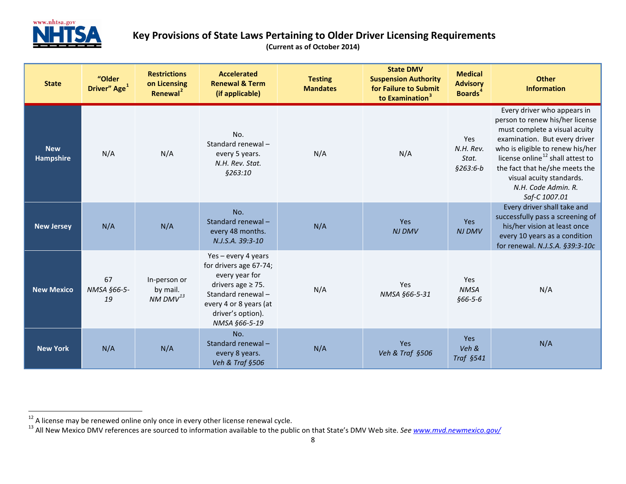<span id="page-7-1"></span><span id="page-7-0"></span>

| <b>State</b>                   | "Older<br>Driver" Age <sup>1</sup> | <b>Restrictions</b><br>on Licensing<br>Renewal <sup>2</sup> | <b>Accelerated</b><br><b>Renewal &amp; Term</b><br>(if applicable)                                                                                                           | <b>Testing</b><br><b>Mandates</b> | <b>State DMV</b><br><b>Suspension Authority</b><br>for Failure to Submit<br>to Examination <sup>3</sup> | <b>Medical</b><br><b>Advisory</b><br><b>Boards</b> <sup>4</sup> | <b>Other</b><br><b>Information</b>                                                                                                                                                                                                                                                                                         |
|--------------------------------|------------------------------------|-------------------------------------------------------------|------------------------------------------------------------------------------------------------------------------------------------------------------------------------------|-----------------------------------|---------------------------------------------------------------------------------------------------------|-----------------------------------------------------------------|----------------------------------------------------------------------------------------------------------------------------------------------------------------------------------------------------------------------------------------------------------------------------------------------------------------------------|
| <b>New</b><br><b>Hampshire</b> | N/A                                | N/A                                                         | No.<br>Standard renewal-<br>every 5 years.<br>N.H. Rev. Stat.<br>\$263:10                                                                                                    | N/A                               | N/A                                                                                                     | Yes<br>N.H. Rev.<br>Stat.<br>$$263:6-b$                         | Every driver who appears in<br>person to renew his/her license<br>must complete a visual acuity<br>examination. But every driver<br>who is eligible to renew his/her<br>license online <sup>12</sup> shall attest to<br>the fact that he/she meets the<br>visual acuity standards.<br>N.H. Code Admin. R.<br>Saf-C 1007.01 |
| <b>New Jersey</b>              | N/A                                | N/A                                                         | No.<br>Standard renewal-<br>every 48 months.<br>N.J.S.A. 39:3-10                                                                                                             | N/A                               | Yes<br><b>NJ DMV</b>                                                                                    | Yes<br><b>NJ DMV</b>                                            | Every driver shall take and<br>successfully pass a screening of<br>his/her vision at least once<br>every 10 years as a condition<br>for renewal. N.J.S.A. §39:3-10c                                                                                                                                                        |
| <b>New Mexico</b>              | 67<br>NMSA §66-5-<br>19            | In-person or<br>by mail.<br>$NM$ DMV $^{13}$                | Yes-every 4 years<br>for drivers age 67-74;<br>every year for<br>drivers age $\geq$ 75.<br>Standard renewal-<br>every 4 or 8 years (at<br>driver's option).<br>NMSA §66-5-19 | N/A                               | Yes<br>NMSA §66-5-31                                                                                    | Yes<br><b>NMSA</b><br>$$66-5-6$                                 | N/A                                                                                                                                                                                                                                                                                                                        |
| <b>New York</b>                | N/A                                | N/A                                                         | No.<br>Standard renewal-<br>every 8 years.<br>Veh & Traf §506                                                                                                                | N/A                               | Yes<br>Veh & Traf §506                                                                                  | <b>Yes</b><br>Veh &<br>Traf §541                                | N/A                                                                                                                                                                                                                                                                                                                        |

<sup>&</sup>lt;sup>12</sup> A license may be renewed online only once in every other license renewal cycle.<br><sup>13</sup> All New Mexico DMV references are sourced to information available to the public on that State's DMV Web site. See www.mvd.newmexico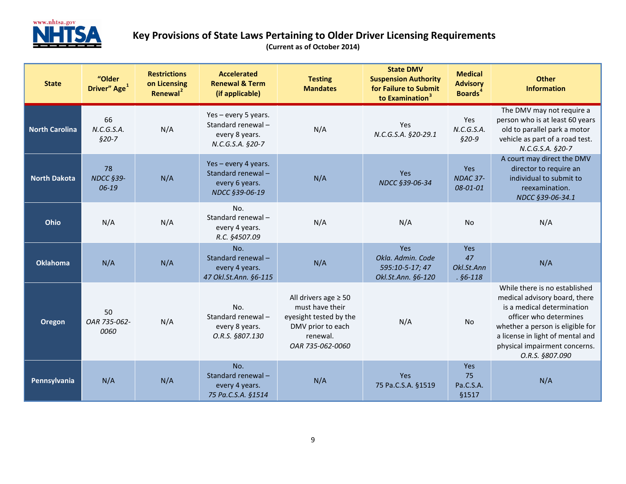

| <b>State</b>          | "Older<br>Driver" Age <sup>1</sup>  | <b>Restrictions</b><br>on Licensing<br>Renewal <sup>2</sup> | <b>Accelerated</b><br><b>Renewal &amp; Term</b><br>(if applicable)              | <b>Testing</b><br><b>Mandates</b>                                                                                           | <b>State DMV</b><br><b>Suspension Authority</b><br>for Failure to Submit<br>to Examination <sup>3</sup> | <b>Medical</b><br><b>Advisory</b><br><b>Boards</b> <sup>4</sup> | <b>Other</b><br><b>Information</b>                                                                                                                                                                                                                 |
|-----------------------|-------------------------------------|-------------------------------------------------------------|---------------------------------------------------------------------------------|-----------------------------------------------------------------------------------------------------------------------------|---------------------------------------------------------------------------------------------------------|-----------------------------------------------------------------|----------------------------------------------------------------------------------------------------------------------------------------------------------------------------------------------------------------------------------------------------|
| <b>North Carolina</b> | 66<br>N.C.G.S.A.<br>$$20-7$         | N/A                                                         | Yes - every 5 years.<br>Standard renewal-<br>every 8 years.<br>N.C.G.S.A. §20-7 | N/A                                                                                                                         | Yes<br>N.C.G.S.A. §20-29.1                                                                              | Yes<br>N.C.G.S.A.<br>$$20-9$                                    | The DMV may not require a<br>person who is at least 60 years<br>old to parallel park a motor<br>vehicle as part of a road test.<br>N.C.G.S.A. §20-7                                                                                                |
| <b>North Dakota</b>   | 78<br><b>NDCC §39-</b><br>$06 - 19$ | N/A                                                         | Yes-every 4 years.<br>Standard renewal-<br>every 6 years.<br>NDCC §39-06-19     | N/A                                                                                                                         | Yes<br>NDCC §39-06-34                                                                                   | Yes<br>NDAC 37-<br>08-01-01                                     | A court may direct the DMV<br>director to require an<br>individual to submit to<br>reexamination.<br>NDCC §39-06-34.1                                                                                                                              |
| Ohio                  | N/A                                 | N/A                                                         | No.<br>Standard renewal-<br>every 4 years.<br>R.C. §4507.09                     | N/A                                                                                                                         | N/A                                                                                                     | <b>No</b>                                                       | N/A                                                                                                                                                                                                                                                |
| <b>Oklahoma</b>       | N/A                                 | N/A                                                         | No.<br>Standard renewal-<br>every 4 years.<br>47 Okl.St.Ann. §6-115             | N/A                                                                                                                         | Yes<br>Okla. Admin. Code<br>595:10-5-17; 47<br>Okl.St.Ann. §6-120                                       | Yes<br>47<br>Okl.St.Ann<br>$. §6-118$                           | N/A                                                                                                                                                                                                                                                |
| Oregon                | 50<br>OAR 735-062-<br>0060          | N/A                                                         | No.<br>Standard renewal-<br>every 8 years.<br>O.R.S. §807.130                   | All drivers age $\geq 50$<br>must have their<br>eyesight tested by the<br>DMV prior to each<br>renewal.<br>OAR 735-062-0060 | N/A                                                                                                     | No                                                              | While there is no established<br>medical advisory board, there<br>is a medical determination<br>officer who determines<br>whether a person is eligible for<br>a license in light of mental and<br>physical impairment concerns.<br>O.R.S. §807.090 |
| Pennsylvania          | N/A                                 | N/A                                                         | No.<br>Standard renewal-<br>every 4 years.<br>75 Pa.C.S.A. §1514                | N/A                                                                                                                         | Yes<br>75 Pa.C.S.A. §1519                                                                               | <b>Yes</b><br>75<br>Pa.C.S.A.<br>§1517                          | N/A                                                                                                                                                                                                                                                |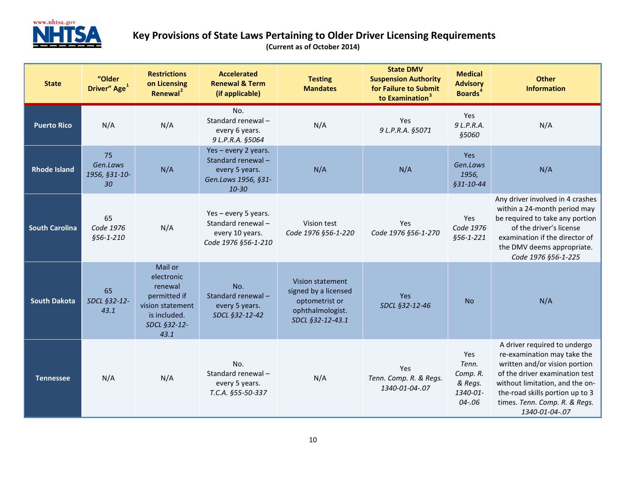

| <b>State</b>          | "Older<br>Driver" Age <sup>1</sup>    | <b>Restrictions</b><br>on Licensing<br>Renewal <sup>2</sup>                                                  | <b>Accelerated</b><br><b>Renewal &amp; Term</b><br>(if applicable)                              | <b>Testing</b><br><b>Mandates</b>                                                                  | <b>State DMV</b><br><b>Suspension Authority</b><br>for Failure to Submit<br>to Examination <sup>3</sup> | <b>Medical</b><br><b>Advisory</b><br><b>Boards</b> <sup>4</sup> | <b>Other</b><br><b>Information</b>                                                                                                                                                                                                                      |
|-----------------------|---------------------------------------|--------------------------------------------------------------------------------------------------------------|-------------------------------------------------------------------------------------------------|----------------------------------------------------------------------------------------------------|---------------------------------------------------------------------------------------------------------|-----------------------------------------------------------------|---------------------------------------------------------------------------------------------------------------------------------------------------------------------------------------------------------------------------------------------------------|
| <b>Puerto Rico</b>    | N/A                                   | N/A                                                                                                          | No.<br>Standard renewal-<br>every 6 years.<br>9 L.P.R.A. §5064                                  | N/A                                                                                                | Yes<br>9 L.P.R.A. §5071                                                                                 | Yes<br>9 L.P.R.A.<br><b>§5060</b>                               | N/A                                                                                                                                                                                                                                                     |
| <b>Rhode Island</b>   | 75<br>Gen.Laws<br>1956, §31-10-<br>30 | N/A                                                                                                          | Yes - every 2 years.<br>Standard renewal-<br>every 5 years.<br>Gen.Laws 1956, §31-<br>$10 - 30$ | N/A                                                                                                | N/A                                                                                                     | Yes<br>Gen.Laws<br>1956,<br>§31-10-44                           | N/A                                                                                                                                                                                                                                                     |
| <b>South Carolina</b> | 65<br>Code 1976<br>§56-1-210          | N/A                                                                                                          | Yes - every 5 years.<br>Standard renewal-<br>every 10 years.<br>Code 1976 §56-1-210             | Vision test<br>Code 1976 §56-1-220                                                                 | Yes<br>Code 1976 §56-1-270                                                                              | Yes<br>Code 1976<br>§56-1-221                                   | Any driver involved in 4 crashes<br>within a 24-month period may<br>be required to take any portion<br>of the driver's license<br>examination if the director of<br>the DMV deems appropriate.<br>Code 1976 §56-1-225                                   |
| <b>South Dakota</b>   | 65<br>SDCL §32-12-<br>43.1            | Mail or<br>electronic<br>renewal<br>permitted if<br>vision statement<br>is included.<br>SDCL §32-12-<br>43.1 | No.<br>Standard renewal-<br>every 5 years.<br>SDCL §32-12-42                                    | Vision statement<br>signed by a licensed<br>optometrist or<br>ophthalmologist.<br>SDCL §32-12-43.1 | <b>Yes</b><br>SDCL §32-12-46                                                                            | <b>No</b>                                                       | N/A                                                                                                                                                                                                                                                     |
| <b>Tennessee</b>      | N/A                                   | N/A                                                                                                          | No.<br>Standard renewal-<br>every 5 years.<br>T.C.A. §55-50-337                                 | N/A                                                                                                | Yes<br>Tenn. Comp. R. & Regs.<br>1340-01-04-.07                                                         | Yes<br>Tenn.<br>Comp. R.<br>& Regs.<br>1340-01-<br>$04 - .06$   | A driver required to undergo<br>re-examination may take the<br>written and/or vision portion<br>of the driver examination test<br>without limitation, and the on-<br>the-road skills portion up to 3<br>times. Tenn. Comp. R. & Regs.<br>1340-01-04-.07 |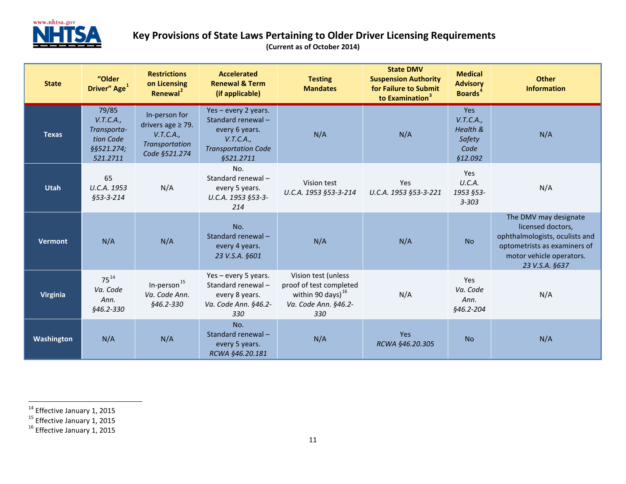<span id="page-10-2"></span><span id="page-10-1"></span><span id="page-10-0"></span>

| <b>State</b>    | "Older<br>Driver" Age <sup>1</sup>                                       | <b>Restrictions</b><br>on Licensing<br>Renewal <sup>2</sup>                             | <b>Accelerated</b><br><b>Renewal &amp; Term</b><br>(if applicable)                                                  | <b>Testing</b><br><b>Mandates</b>                                                                        | <b>State DMV</b><br><b>Suspension Authority</b><br>for Failure to Submit<br>to Examination <sup>3</sup> | <b>Medical</b><br><b>Advisory</b><br><b>Boards</b> <sup>4</sup>  | <b>Other</b><br><b>Information</b>                                                                                                                         |
|-----------------|--------------------------------------------------------------------------|-----------------------------------------------------------------------------------------|---------------------------------------------------------------------------------------------------------------------|----------------------------------------------------------------------------------------------------------|---------------------------------------------------------------------------------------------------------|------------------------------------------------------------------|------------------------------------------------------------------------------------------------------------------------------------------------------------|
| <b>Texas</b>    | 79/85<br>V.T.C.A.,<br>Transporta-<br>tion Code<br>§§521.274;<br>521.2711 | In-person for<br>drivers age $\geq$ 79.<br>V.T.C.A.,<br>Transportation<br>Code §521.274 | Yes - every 2 years.<br>Standard renewal-<br>every 6 years.<br>V.T.C.A.,<br><b>Transportation Code</b><br>§521.2711 | N/A                                                                                                      | N/A                                                                                                     | <b>Yes</b><br>V.T.C.A.,<br>Health &<br>Safety<br>Code<br>§12.092 | N/A                                                                                                                                                        |
| <b>Utah</b>     | 65<br>U.C.A. 1953<br>§53-3-214                                           | N/A                                                                                     | No.<br>Standard renewal-<br>every 5 years.<br>U.C.A. 1953 §53-3-<br>214                                             | Vision test<br>U.C.A. 1953 §53-3-214                                                                     | Yes<br>U.C.A. 1953 §53-3-221                                                                            | Yes<br>U.C.A.<br>1953 §53-<br>$3 - 303$                          | N/A                                                                                                                                                        |
| Vermont         | N/A                                                                      | N/A                                                                                     | No.<br>Standard renewal-<br>every 4 years.<br>23 V.S.A. §601                                                        | N/A                                                                                                      | N/A                                                                                                     | <b>No</b>                                                        | The DMV may designate<br>licensed doctors,<br>ophthalmologists, oculists and<br>optometrists as examiners of<br>motor vehicle operators.<br>23 V.S.A. §637 |
| <b>Virginia</b> | $75^{14}$<br>Va. Code<br>Ann.<br>§46.2-330                               | In-person <sup>15</sup><br>Va. Code Ann.<br>§46.2-330                                   | Yes - every 5 years.<br>Standard renewal-<br>every 8 years.<br>Va. Code Ann. §46.2-<br>330                          | Vision test (unless<br>proof of test completed<br>within 90 days) $^{16}$<br>Va. Code Ann. §46.2-<br>330 | N/A                                                                                                     | <b>Yes</b><br>Va. Code<br>Ann.<br>§46.2-204                      | N/A                                                                                                                                                        |
| Washington      | N/A                                                                      | N/A                                                                                     | No.<br>Standard renewal-<br>every 5 years.<br>RCWA §46.20.181                                                       | N/A                                                                                                      | <b>Yes</b><br>RCWA §46.20.305                                                                           | <b>No</b>                                                        | N/A                                                                                                                                                        |

<sup>&</sup>lt;sup>14</sup> Effective January 1, 2015<br><sup>15</sup> Effective January 1, 2015<br><sup>16</sup> Effective January 1, 2015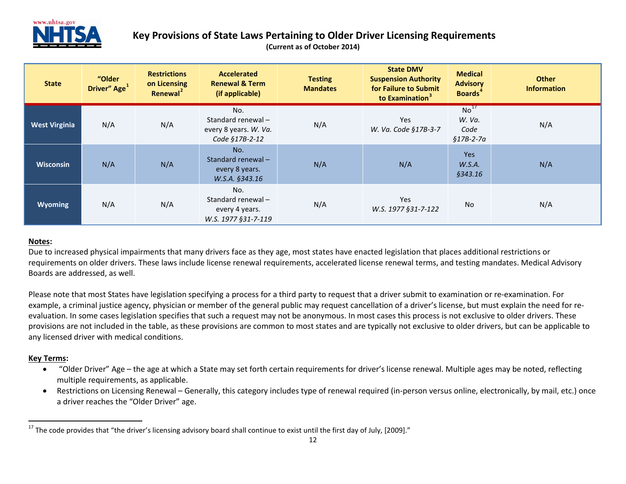

#### <span id="page-11-0"></span>**Key Provisions of State Laws Pertaining to Older Driver Licensing Requirements (Current as of October 2014)**

| <b>State</b>         | "Older<br>Driver" Age <sup>1</sup> | <b>Restrictions</b><br>on Licensing<br>Renewal <sup>2</sup> | <b>Accelerated</b><br><b>Renewal &amp; Term</b><br>(if applicable)  | <b>Testing</b><br><b>Mandates</b> | <b>State DMV</b><br><b>Suspension Authority</b><br>for Failure to Submit<br>to Examination <sup>3</sup> | <b>Medical</b><br><b>Advisory</b><br><b>Boards</b> <sup>4</sup> | <b>Other</b><br><b>Information</b> |
|----------------------|------------------------------------|-------------------------------------------------------------|---------------------------------------------------------------------|-----------------------------------|---------------------------------------------------------------------------------------------------------|-----------------------------------------------------------------|------------------------------------|
| <b>West Virginia</b> | N/A                                | N/A                                                         | No.<br>Standard renewal-<br>every 8 years. W. Va.<br>Code §17B-2-12 | N/A                               | <b>Yes</b><br>W. Va. Code §17B-3-7                                                                      | No <sup>17</sup><br>W. Va.<br>Code<br>§17B-2-7a                 | N/A                                |
| <b>Wisconsin</b>     | N/A                                | N/A                                                         | No.<br>Standard renewal-<br>every 8 years.<br>W.S.A. §343.16        | N/A                               | N/A                                                                                                     | <b>Yes</b><br>W.S.A.<br>§343.16                                 | N/A                                |
| <b>Wyoming</b>       | N/A                                | N/A                                                         | No.<br>Standard renewal-<br>every 4 years.<br>W.S. 1977 §31-7-119   | N/A                               | <b>Yes</b><br>W.S. 1977 §31-7-122                                                                       | No                                                              | N/A                                |

#### **Notes:**

Due to increased physical impairments that many drivers face as they age, most states have enacted legislation that places additional restrictions or requirements on older drivers. These laws include license renewal requirements, accelerated license renewal terms, and testing mandates. Medical Advisory Boards are addressed, as well.

Please note that most States have legislation specifying a process for a third party to request that a driver submit to examination or re-examination. For example, a criminal justice agency, physician or member of the general public may request cancellation of a driver's license, but must explain the need for reevaluation. In some cases legislation specifies that such a request may not be anonymous. In most cases this process is not exclusive to older drivers. These provisions are not included in the table, as these provisions are common to most states and are typically not exclusive to older drivers, but can be applicable to any licensed driver with medical conditions.

#### **Key Terms:**

- "Older Driver" Age the age at which a State may set forth certain requirements for driver's license renewal. Multiple ages may be noted, reflecting multiple requirements, as applicable.
- Restrictions on Licensing Renewal Generally, this category includes type of renewal required (in-person versus online, electronically, by mail, etc.) once a driver reaches the "Older Driver" age.

 $17$  The code provides that "the driver's licensing advisory board shall continue to exist until the first day of July, [2009]."